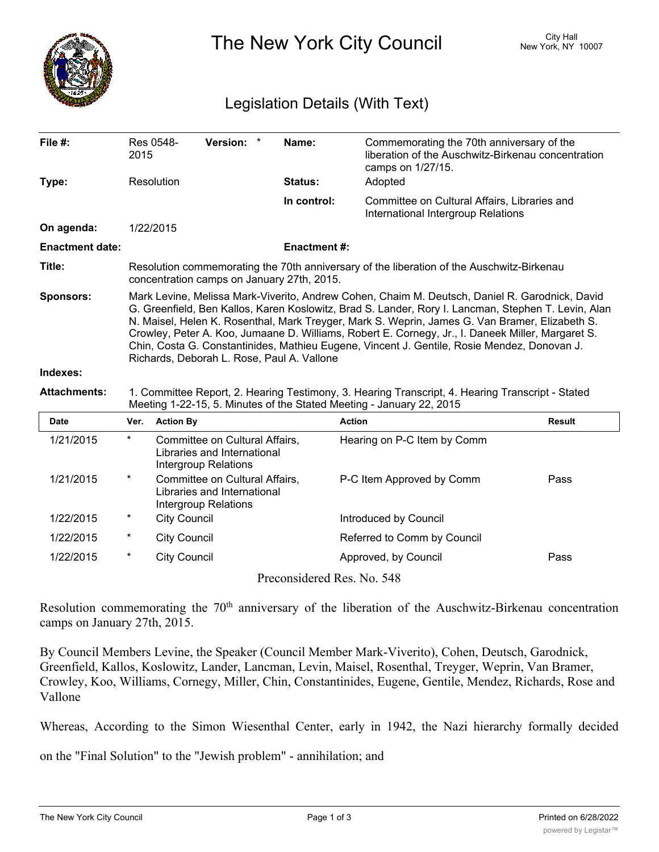

The New York City Council New York, NY 10007

## Legislation Details (With Text)

| File #:                                                                                                               | 2015                                                                                                                                                                                                                                                                                                                                                                                                                                                                                                                                                      | Res 0548-           | Version: *                                                                                   |  | Name:               | Commemorating the 70th anniversary of the<br>liberation of the Auschwitz-Birkenau concentration<br>camps on 1/27/15. |               |
|-----------------------------------------------------------------------------------------------------------------------|-----------------------------------------------------------------------------------------------------------------------------------------------------------------------------------------------------------------------------------------------------------------------------------------------------------------------------------------------------------------------------------------------------------------------------------------------------------------------------------------------------------------------------------------------------------|---------------------|----------------------------------------------------------------------------------------------|--|---------------------|----------------------------------------------------------------------------------------------------------------------|---------------|
| Type:                                                                                                                 |                                                                                                                                                                                                                                                                                                                                                                                                                                                                                                                                                           | Resolution          |                                                                                              |  | <b>Status:</b>      | Adopted                                                                                                              |               |
|                                                                                                                       |                                                                                                                                                                                                                                                                                                                                                                                                                                                                                                                                                           |                     |                                                                                              |  | In control:         | Committee on Cultural Affairs, Libraries and<br>International Intergroup Relations                                   |               |
| On agenda:                                                                                                            |                                                                                                                                                                                                                                                                                                                                                                                                                                                                                                                                                           | 1/22/2015           |                                                                                              |  |                     |                                                                                                                      |               |
| <b>Enactment date:</b>                                                                                                |                                                                                                                                                                                                                                                                                                                                                                                                                                                                                                                                                           |                     |                                                                                              |  | <b>Enactment #:</b> |                                                                                                                      |               |
| Title:                                                                                                                | Resolution commemorating the 70th anniversary of the liberation of the Auschwitz-Birkenau<br>concentration camps on January 27th, 2015.                                                                                                                                                                                                                                                                                                                                                                                                                   |                     |                                                                                              |  |                     |                                                                                                                      |               |
| <b>Sponsors:</b>                                                                                                      | Mark Levine, Melissa Mark-Viverito, Andrew Cohen, Chaim M. Deutsch, Daniel R. Garodnick, David<br>G. Greenfield, Ben Kallos, Karen Koslowitz, Brad S. Lander, Rory I. Lancman, Stephen T. Levin, Alan<br>N. Maisel, Helen K. Rosenthal, Mark Treyger, Mark S. Weprin, James G. Van Bramer, Elizabeth S.<br>Crowley, Peter A. Koo, Jumaane D. Williams, Robert E. Cornegy, Jr., I. Daneek Miller, Margaret S.<br>Chin, Costa G. Constantinides, Mathieu Eugene, Vincent J. Gentile, Rosie Mendez, Donovan J.<br>Richards, Deborah L. Rose, Paul A. Vallone |                     |                                                                                              |  |                     |                                                                                                                      |               |
| Indexes:                                                                                                              |                                                                                                                                                                                                                                                                                                                                                                                                                                                                                                                                                           |                     |                                                                                              |  |                     |                                                                                                                      |               |
| <b>Attachments:</b>                                                                                                   | 1. Committee Report, 2. Hearing Testimony, 3. Hearing Transcript, 4. Hearing Transcript - Stated<br>Meeting 1-22-15, 5. Minutes of the Stated Meeting - January 22, 2015                                                                                                                                                                                                                                                                                                                                                                                  |                     |                                                                                              |  |                     |                                                                                                                      |               |
| <b>Date</b>                                                                                                           | Ver.                                                                                                                                                                                                                                                                                                                                                                                                                                                                                                                                                      | <b>Action By</b>    |                                                                                              |  |                     | <b>Action</b>                                                                                                        | <b>Result</b> |
| 1/21/2015                                                                                                             | $\star$                                                                                                                                                                                                                                                                                                                                                                                                                                                                                                                                                   |                     | Committee on Cultural Affairs,<br>Libraries and International<br><b>Intergroup Relations</b> |  |                     | Hearing on P-C Item by Comm                                                                                          |               |
| 1/21/2015                                                                                                             | $^\ast$                                                                                                                                                                                                                                                                                                                                                                                                                                                                                                                                                   |                     | Committee on Cultural Affairs,<br>Libraries and International<br><b>Intergroup Relations</b> |  |                     | P-C Item Approved by Comm                                                                                            | Pass          |
| 1/22/2015                                                                                                             | $^\star$                                                                                                                                                                                                                                                                                                                                                                                                                                                                                                                                                  | <b>City Council</b> |                                                                                              |  |                     | Introduced by Council                                                                                                |               |
| 1/22/2015                                                                                                             | $^\star$                                                                                                                                                                                                                                                                                                                                                                                                                                                                                                                                                  | <b>City Council</b> |                                                                                              |  |                     | Referred to Comm by Council                                                                                          |               |
| 1/22/2015                                                                                                             | $^\star$                                                                                                                                                                                                                                                                                                                                                                                                                                                                                                                                                  | <b>City Council</b> |                                                                                              |  |                     | Approved, by Council                                                                                                 | Pass          |
| $D_{\text{measured}}$ , $J_{\text{measured}}$ , $I_{\text{measured}}$ , $I_{\text{measured}}$ , $I_{\text{measured}}$ |                                                                                                                                                                                                                                                                                                                                                                                                                                                                                                                                                           |                     |                                                                                              |  |                     |                                                                                                                      |               |

Preconsidered Res. No. 548

Resolution commemorating the 70<sup>th</sup> anniversary of the liberation of the Auschwitz-Birkenau concentration camps on January 27th, 2015.

By Council Members Levine, the Speaker (Council Member Mark-Viverito), Cohen, Deutsch, Garodnick, Greenfield, Kallos, Koslowitz, Lander, Lancman, Levin, Maisel, Rosenthal, Treyger, Weprin, Van Bramer, Crowley, Koo, Williams, Cornegy, Miller, Chin, Constantinides, Eugene, Gentile, Mendez, Richards, Rose and Vallone

Whereas, According to the Simon Wiesenthal Center, early in 1942, the Nazi hierarchy formally decided

on the "Final Solution" to the "Jewish problem" - annihilation; and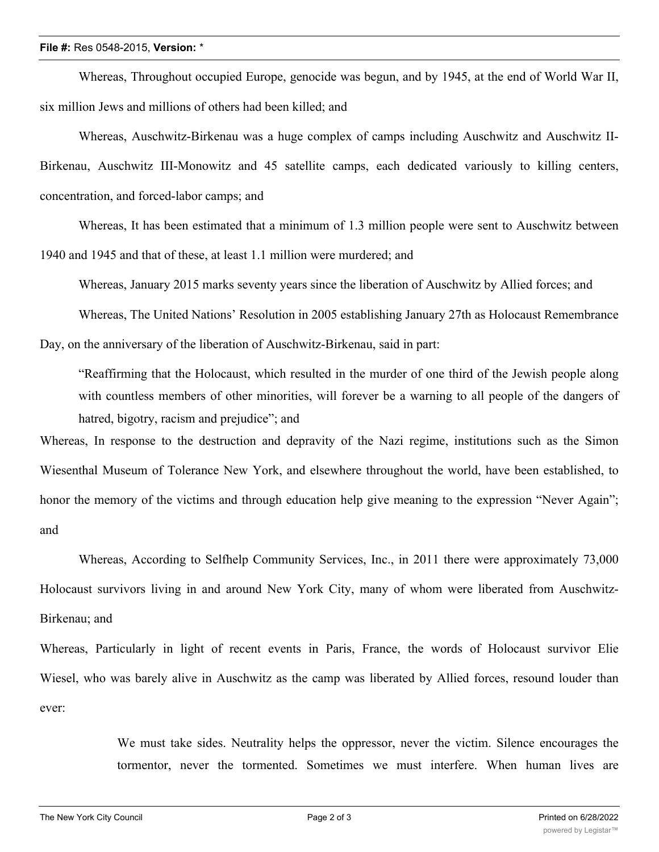## **File #:** Res 0548-2015, **Version:** \*

Whereas, Throughout occupied Europe, genocide was begun, and by 1945, at the end of World War II, six million Jews and millions of others had been killed; and

Whereas, Auschwitz-Birkenau was a huge complex of camps including Auschwitz and Auschwitz II-Birkenau, Auschwitz III-Monowitz and 45 satellite camps, each dedicated variously to killing centers, concentration, and forced-labor camps; and

Whereas, It has been estimated that a minimum of 1.3 million people were sent to Auschwitz between 1940 and 1945 and that of these, at least 1.1 million were murdered; and

Whereas, January 2015 marks seventy years since the liberation of Auschwitz by Allied forces; and

Whereas, The United Nations' Resolution in 2005 establishing January 27th as Holocaust Remembrance Day, on the anniversary of the liberation of Auschwitz-Birkenau, said in part:

"Reaffirming that the Holocaust, which resulted in the murder of one third of the Jewish people along with countless members of other minorities, will forever be a warning to all people of the dangers of hatred, bigotry, racism and prejudice"; and

Whereas, In response to the destruction and depravity of the Nazi regime, institutions such as the Simon Wiesenthal Museum of Tolerance New York, and elsewhere throughout the world, have been established, to honor the memory of the victims and through education help give meaning to the expression "Never Again"; and

Whereas, According to Selfhelp Community Services, Inc., in 2011 there were approximately 73,000 Holocaust survivors living in and around New York City, many of whom were liberated from Auschwitz-Birkenau; and

Whereas, Particularly in light of recent events in Paris, France, the words of Holocaust survivor Elie Wiesel, who was barely alive in Auschwitz as the camp was liberated by Allied forces, resound louder than ever:

> We must take sides. Neutrality helps the oppressor, never the victim. Silence encourages the tormentor, never the tormented. Sometimes we must interfere. When human lives are